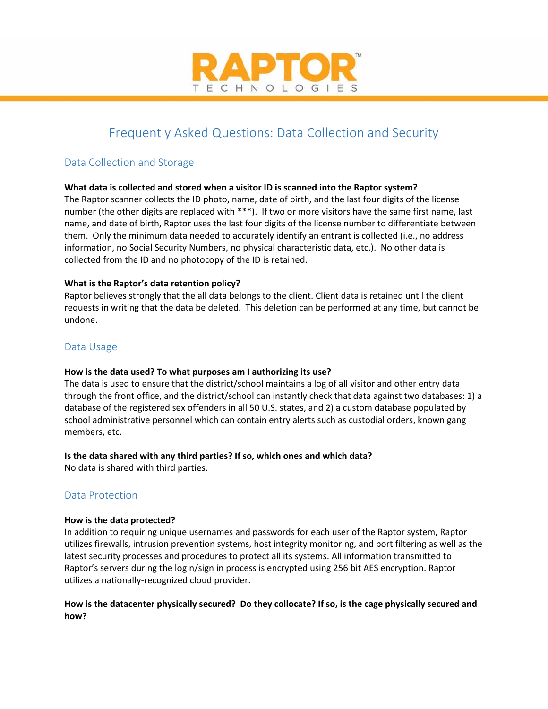

# Frequently Asked Questions: Data Collection and Security

# Data Collection and Storage

# **What data is collected and stored when a visitor ID is scanned into the Raptor system?**

The Raptor scanner collects the ID photo, name, date of birth, and the last four digits of the license number (the other digits are replaced with \*\*\*). If two or more visitors have the same first name, last name, and date of birth, Raptor uses the last four digits of the license number to differentiate between them. Only the minimum data needed to accurately identify an entrant is collected (i.e., no address information, no Social Security Numbers, no physical characteristic data, etc.). No other data is collected from the ID and no photocopy of the ID is retained.

# **What is the Raptor's data retention policy?**

Raptor believes strongly that the all data belongs to the client. Client data is retained until the client requests in writing that the data be deleted. This deletion can be performed at any time, but cannot be undone.

# Data Usage

## **How is the data used? To what purposes am I authorizing its use?**

The data is used to ensure that the district/school maintains a log of all visitor and other entry data through the front office, and the district/school can instantly check that data against two databases: 1) a database of the registered sex offenders in all 50 U.S. states, and 2) a custom database populated by school administrative personnel which can contain entry alerts such as custodial orders, known gang members, etc.

## **Is the data shared with any third parties? If so, which ones and which data?**

No data is shared with third parties.

# Data Protection

## **How is the data protected?**

In addition to requiring unique usernames and passwords for each user of the Raptor system, Raptor utilizes firewalls, intrusion prevention systems, host integrity monitoring, and port filtering as well as the latest security processes and procedures to protect all its systems. All information transmitted to Raptor's servers during the login/sign in process is encrypted using 256 bit AES encryption. Raptor utilizes a nationally-recognized cloud provider.

# **How is the datacenter physically secured? Do they collocate? If so, is the cage physically secured and how?**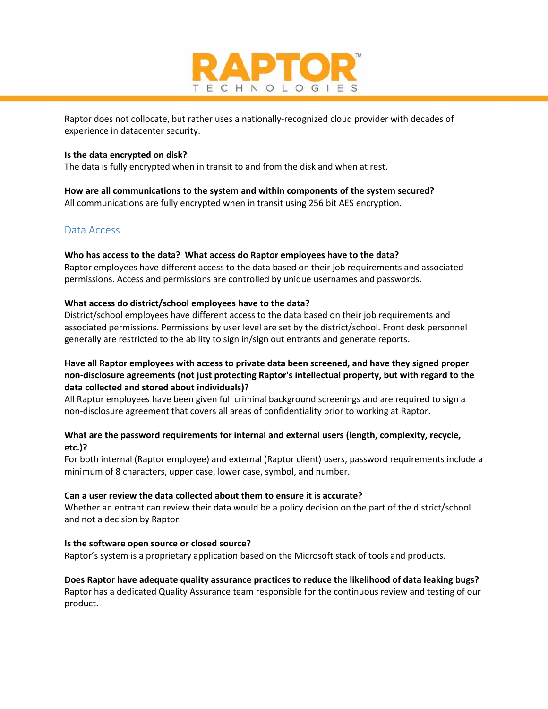

Raptor does not collocate, but rather uses a nationally-recognized cloud provider with decades of experience in datacenter security.

#### **Is the data encrypted on disk?**

The data is fully encrypted when in transit to and from the disk and when at rest.

**How are all communications to the system and within components of the system secured?** All communications are fully encrypted when in transit using 256 bit AES encryption.

# Data Access

#### **Who has access to the data? What access do Raptor employees have to the data?**

Raptor employees have different access to the data based on their job requirements and associated permissions. Access and permissions are controlled by unique usernames and passwords.

#### **What access do district/school employees have to the data?**

District/school employees have different access to the data based on their job requirements and associated permissions. Permissions by user level are set by the district/school. Front desk personnel generally are restricted to the ability to sign in/sign out entrants and generate reports.

## **Have all Raptor employees with access to private data been screened, and have they signed proper non-disclosure agreements (not just protecting Raptor's intellectual property, but with regard to the data collected and stored about individuals)?**

All Raptor employees have been given full criminal background screenings and are required to sign a non-disclosure agreement that covers all areas of confidentiality prior to working at Raptor.

## **What are the password requirements for internal and external users (length, complexity, recycle, etc.)?**

For both internal (Raptor employee) and external (Raptor client) users, password requirements include a minimum of 8 characters, upper case, lower case, symbol, and number.

#### **Can a user review the data collected about them to ensure it is accurate?**

Whether an entrant can review their data would be a policy decision on the part of the district/school and not a decision by Raptor.

#### **Is the software open source or closed source?**

Raptor's system is a proprietary application based on the Microsoft stack of tools and products.

## **Does Raptor have adequate quality assurance practices to reduce the likelihood of data leaking bugs?**  Raptor has a dedicated Quality Assurance team responsible for the continuous review and testing of our product.